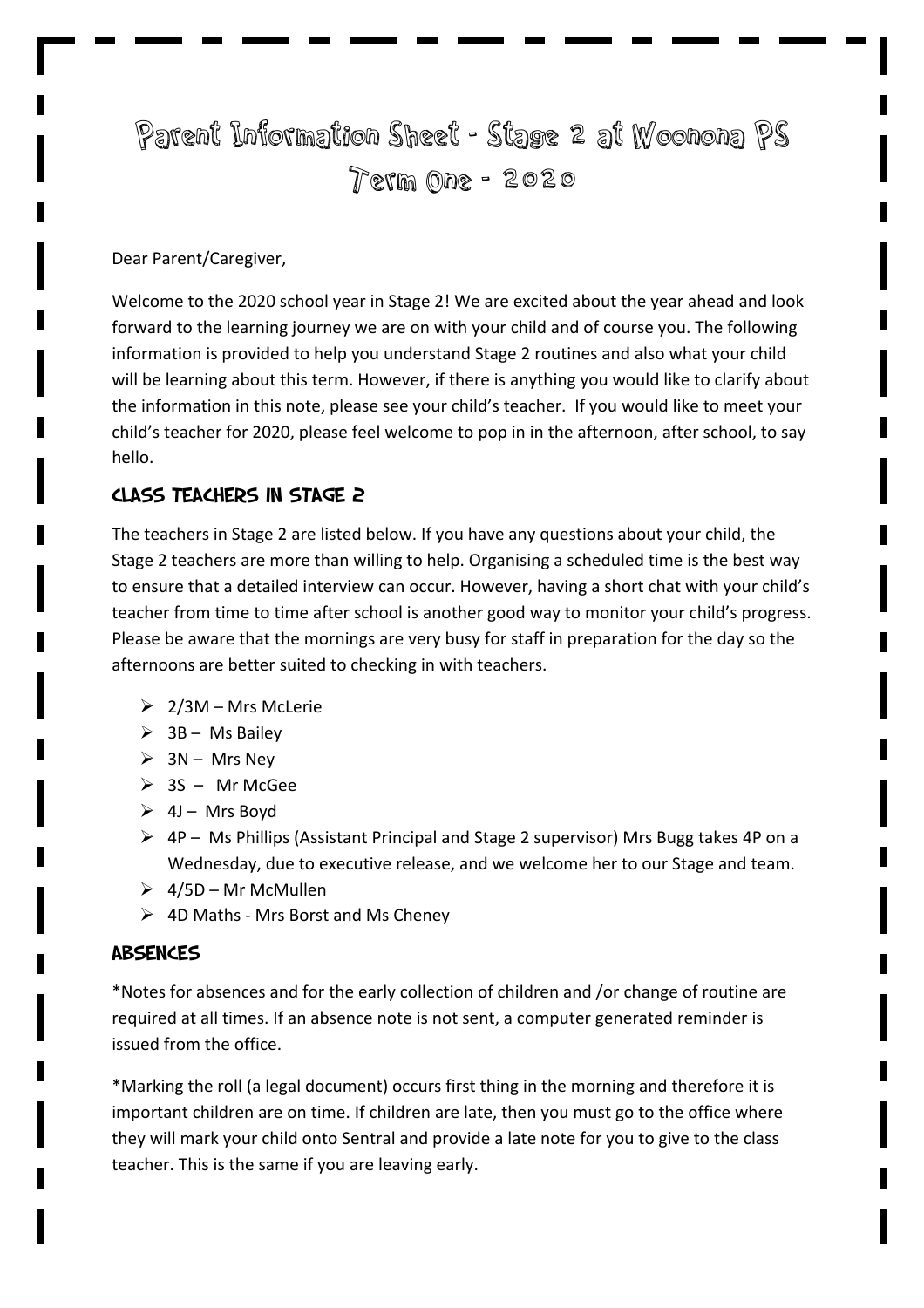# Parent Information Sheet - Stage 2 at Woonona PS Term One - 2020

#### Dear Parent/Caregiver,

Welcome to the 2020 school year in Stage 2! We are excited about the year ahead and look forward to the learning journey we are on with your child and of course you. The following information is provided to help you understand Stage 2 routines and also what your child will be learning about this term. However, if there is anything you would like to clarify about the information in this note, please see your child's teacher. If you would like to meet your child's teacher for 2020, please feel welcome to pop in in the afternoon, after school, to say hello. 

## Class Teachers in Stage 2

The teachers in Stage 2 are listed below. If you have any questions about your child, the Stage 2 teachers are more than willing to help. Organising a scheduled time is the best way to ensure that a detailed interview can occur. However, having a short chat with your child's teacher from time to time after school is another good way to monitor your child's progress. Please be aware that the mornings are very busy for staff in preparation for the day so the afternoons are better suited to checking in with teachers.

- $\geq 2/3M Mrs$  McLerie
- $\geq$  3B Ms Bailey
- $\triangleright$  3N Mrs Nev
- $\geq$  3S Mr McGee
- $\triangleright$  4J Mrs Boyd
- $\triangleright$  4P Ms Phillips (Assistant Principal and Stage 2 supervisor) Mrs Bugg takes 4P on a Wednesday, due to executive release, and we welcome her to our Stage and team.
- $\geq 4/5D$  Mr McMullen
- $\triangleright$  4D Maths Mrs Borst and Ms Cheney

#### **ABSENCES**

\*Notes for absences and for the early collection of children and /or change of routine are required at all times. If an absence note is not sent, a computer generated reminder is issued from the office.

\*Marking the roll (a legal document) occurs first thing in the morning and therefore it is important children are on time. If children are late, then you must go to the office where they will mark your child onto Sentral and provide a late note for you to give to the class teacher. This is the same if you are leaving early.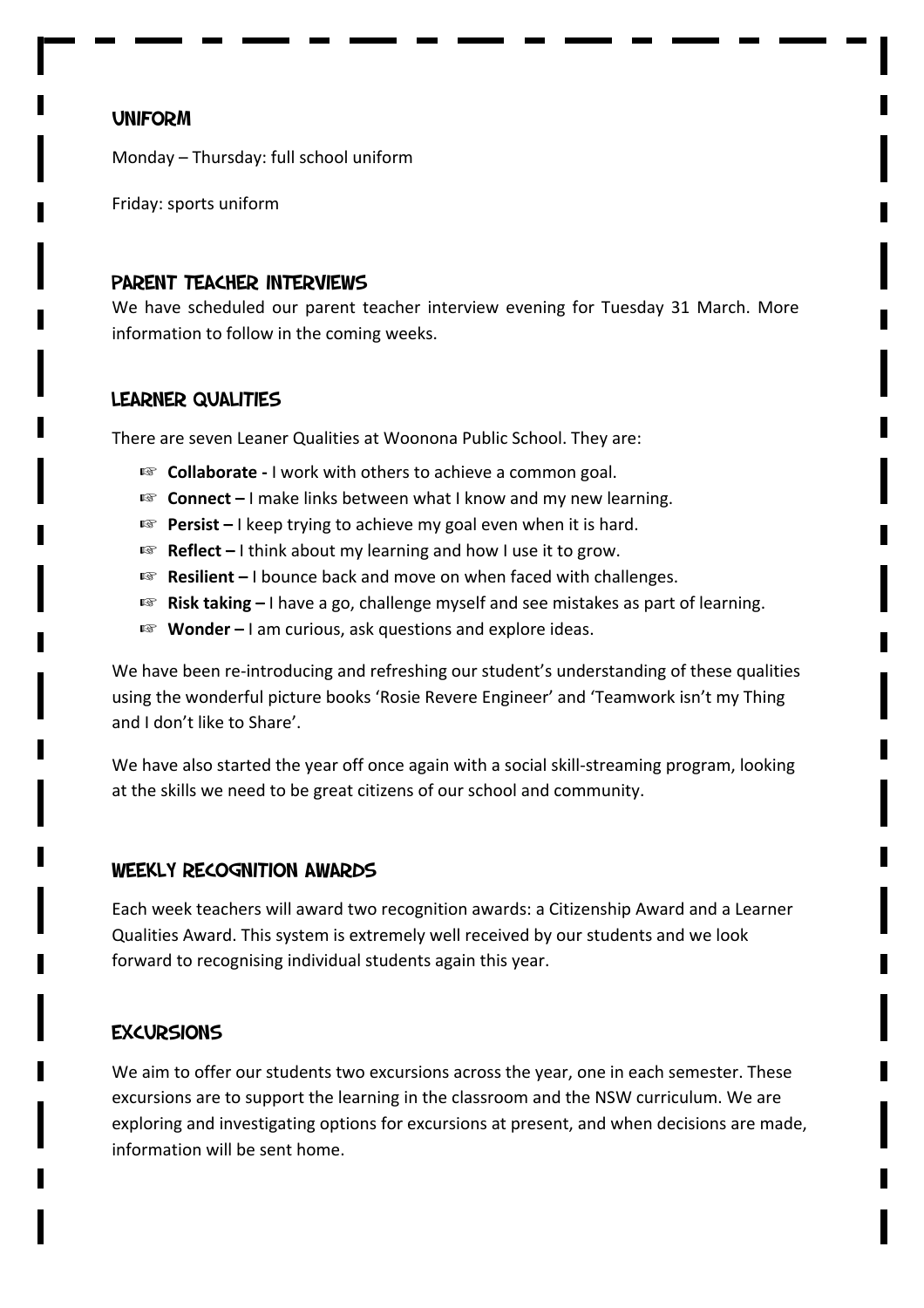## **UNIFORM**

Monday – Thursday: full school uniform

Friday: sports uniform

#### Parent teacher interviews

We have scheduled our parent teacher interview evening for Tuesday 31 March. More information to follow in the coming weeks.

#### Learner Qualities

There are seven Leaner Qualities at Woonona Public School. They are:

- **Collaborate** I work with others to achieve a common goal.
- **Connect** I make links between what I know and my new learning.
- **Persist** I keep trying to achieve my goal even when it is hard.
- **Reflect** I think about my learning and how I use it to grow.
- **Resilient** I bounce back and move on when faced with challenges.
- **Risk taking** I have a go, challenge myself and see mistakes as part of learning.
- **Wonder** I am curious, ask questions and explore ideas.

We have been re-introducing and refreshing our student's understanding of these qualities using the wonderful picture books 'Rosie Revere Engineer' and 'Teamwork isn't my Thing and I don't like to Share'.

We have also started the year off once again with a social skill-streaming program, looking at the skills we need to be great citizens of our school and community.

#### Weekly Recognition Awards

Each week teachers will award two recognition awards: a Citizenship Award and a Learner Qualities Award. This system is extremely well received by our students and we look forward to recognising individual students again this year.

# **EXCURSIONS**

We aim to offer our students two excursions across the year, one in each semester. These excursions are to support the learning in the classroom and the NSW curriculum. We are exploring and investigating options for excursions at present, and when decisions are made, information will be sent home.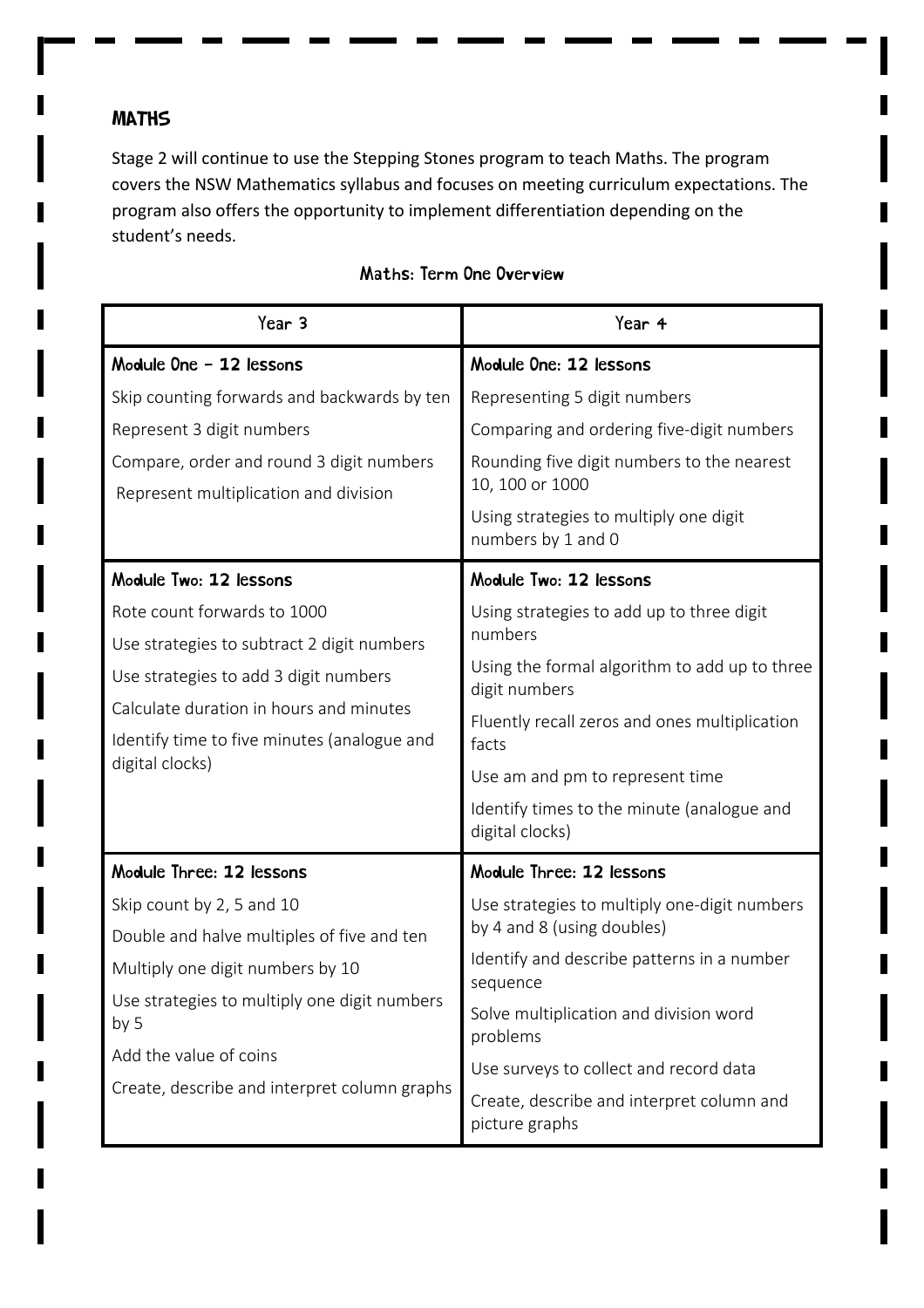# **MATHS**

Stage 2 will continue to use the Stepping Stones program to teach Maths. The program covers the NSW Mathematics syllabus and focuses on meeting curriculum expectations. The program also offers the opportunity to implement differentiation depending on the student's needs.

| Year <sub>3</sub>                                                                                                              | Year 4                                                        |
|--------------------------------------------------------------------------------------------------------------------------------|---------------------------------------------------------------|
| Module One - 12 lessons                                                                                                        | Module One: 12 lessons                                        |
| Skip counting forwards and backwards by ten                                                                                    | Representing 5 digit numbers                                  |
| Represent 3 digit numbers                                                                                                      | Comparing and ordering five-digit numbers                     |
| Compare, order and round 3 digit numbers<br>Represent multiplication and division                                              | Rounding five digit numbers to the nearest<br>10, 100 or 1000 |
|                                                                                                                                | Using strategies to multiply one digit<br>numbers by 1 and 0  |
| Module Two: 12 lessons                                                                                                         | Module Two: 12 lessons                                        |
| Rote count forwards to 1000                                                                                                    | Using strategies to add up to three digit<br>numbers          |
| Use strategies to subtract 2 digit numbers                                                                                     | Using the formal algorithm to add up to three                 |
| Use strategies to add 3 digit numbers                                                                                          | digit numbers                                                 |
| Calculate duration in hours and minutes<br>Identify time to five minutes (analogue and<br>digital clocks)                      | Fluently recall zeros and ones multiplication<br>facts        |
|                                                                                                                                | Use am and pm to represent time                               |
|                                                                                                                                | Identify times to the minute (analogue and<br>digital clocks) |
| Module Three: 12 lessons                                                                                                       | Module Three: 12 lessons                                      |
| Skip count by 2, 5 and 10                                                                                                      | Use strategies to multiply one-digit numbers                  |
| Double and halve multiples of five and ten                                                                                     | by 4 and 8 (using doubles)                                    |
| Multiply one digit numbers by 10                                                                                               | Identify and describe patterns in a number<br>sequence        |
| Use strategies to multiply one digit numbers<br>by 5<br>Add the value of coins<br>Create, describe and interpret column graphs | Solve multiplication and division word<br>problems            |
|                                                                                                                                | Use surveys to collect and record data                        |
|                                                                                                                                | Create, describe and interpret column and<br>picture graphs   |

# Maths: Term One Overview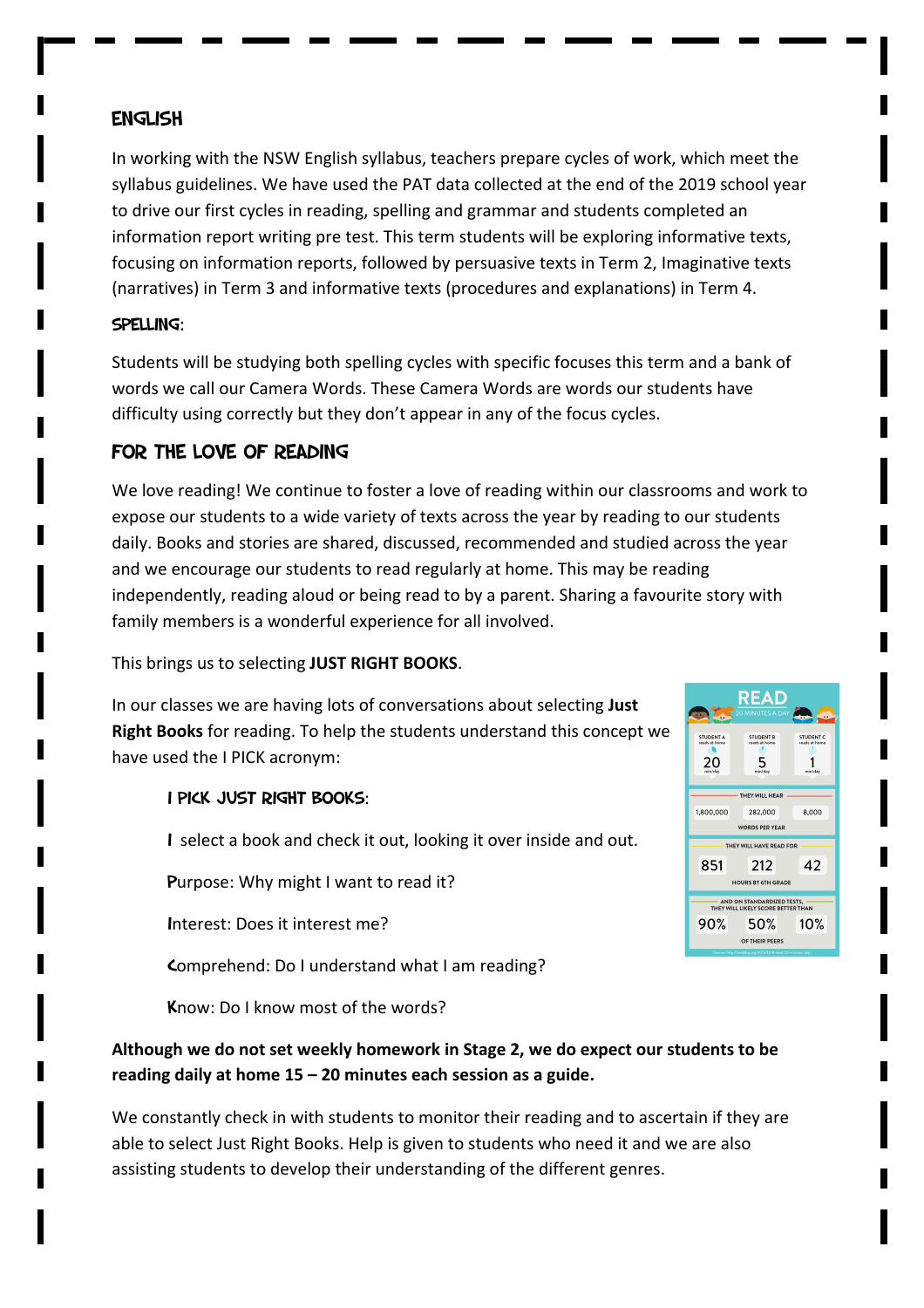# English

In working with the NSW English syllabus, teachers prepare cycles of work, which meet the syllabus guidelines. We have used the PAT data collected at the end of the 2019 school year to drive our first cycles in reading, spelling and grammar and students completed an information report writing pre test. This term students will be exploring informative texts, focusing on information reports, followed by persuasive texts in Term 2, Imaginative texts (narratives) in Term 3 and informative texts (procedures and explanations) in Term 4.

#### Spelling:

Students will be studying both spelling cycles with specific focuses this term and a bank of words we call our Camera Words. These Camera Words are words our students have difficulty using correctly but they don't appear in any of the focus cycles.

# For the love of Reading

We love reading! We continue to foster a love of reading within our classrooms and work to expose our students to a wide variety of texts across the year by reading to our students daily. Books and stories are shared, discussed, recommended and studied across the year and we encourage our students to read regularly at home. This may be reading independently, reading aloud or being read to by a parent. Sharing a favourite story with family members is a wonderful experience for all involved.

This brings us to selecting JUST RIGHT BOOKS.

In our classes we are having lots of conversations about selecting Just **Right Books** for reading. To help the students understand this concept we have used the I PICK acronym:

#### I PICK JUST RIGHT BOOKS:

I select a book and check it out, looking it over inside and out.

Purpose: Why might I want to read it?

Interest: Does it interest me?

Comprehend: Do I understand what I am reading?

Know: Do I know most of the words?

# Although we do not set weekly homework in Stage 2, we do expect our students to be reading daily at home 15 – 20 minutes each session as a guide.

We constantly check in with students to monitor their reading and to ascertain if they are able to select Just Right Books. Help is given to students who need it and we are also assisting students to develop their understanding of the different genres.

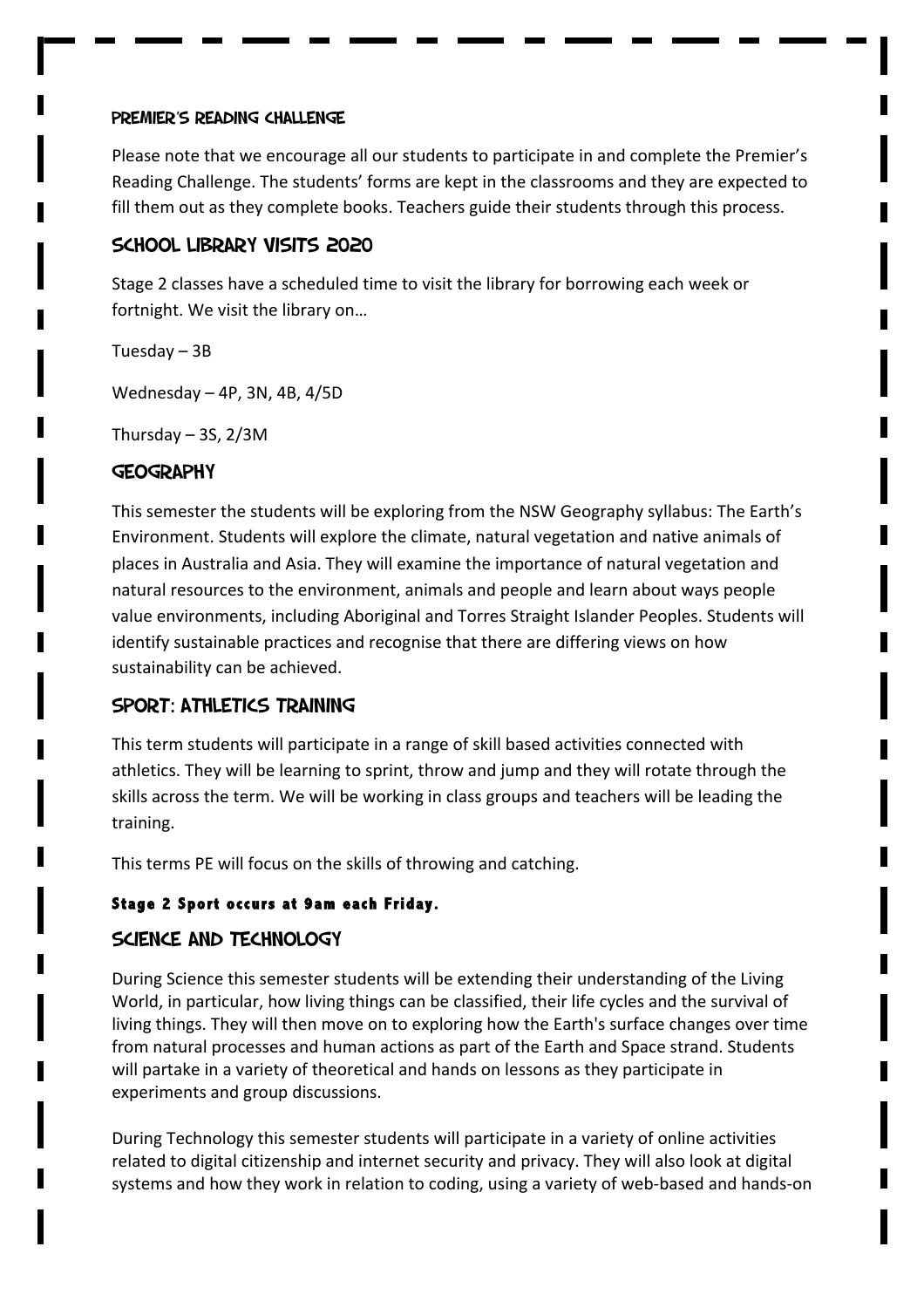#### Premier's Reading Challenge

Please note that we encourage all our students to participate in and complete the Premier's Reading Challenge. The students' forms are kept in the classrooms and they are expected to fill them out as they complete books. Teachers guide their students through this process.

## School Library Visits 2020

Stage 2 classes have a scheduled time to visit the library for borrowing each week or fortnight. We visit the library on...

Tuesday – 3B

Wednesday  $-$  4P, 3N, 4B, 4/5D

Thursday  $-35$ ,  $2/3M$ 

## **GEOGRAPHY**

This semester the students will be exploring from the NSW Geography syllabus: The Earth's Environment. Students will explore the climate, natural vegetation and native animals of places in Australia and Asia. They will examine the importance of natural vegetation and natural resources to the environment, animals and people and learn about ways people value environments, including Aboriginal and Torres Straight Islander Peoples. Students will identify sustainable practices and recognise that there are differing views on how sustainability can be achieved.

# SPORT: ATHLETICS TRAINING

This term students will participate in a range of skill based activities connected with athletics. They will be learning to sprint, throw and jump and they will rotate through the skills across the term. We will be working in class groups and teachers will be leading the training. 

This terms PE will focus on the skills of throwing and catching.

#### **Stage 2 Sport occurs at 9am each Friday.**

# Science and technology

During Science this semester students will be extending their understanding of the Living World, in particular, how living things can be classified, their life cycles and the survival of living things. They will then move on to exploring how the Earth's surface changes over time from natural processes and human actions as part of the Earth and Space strand. Students will partake in a variety of theoretical and hands on lessons as they participate in experiments and group discussions.

During Technology this semester students will participate in a variety of online activities related to digital citizenship and internet security and privacy. They will also look at digital systems and how they work in relation to coding, using a variety of web-based and hands-on